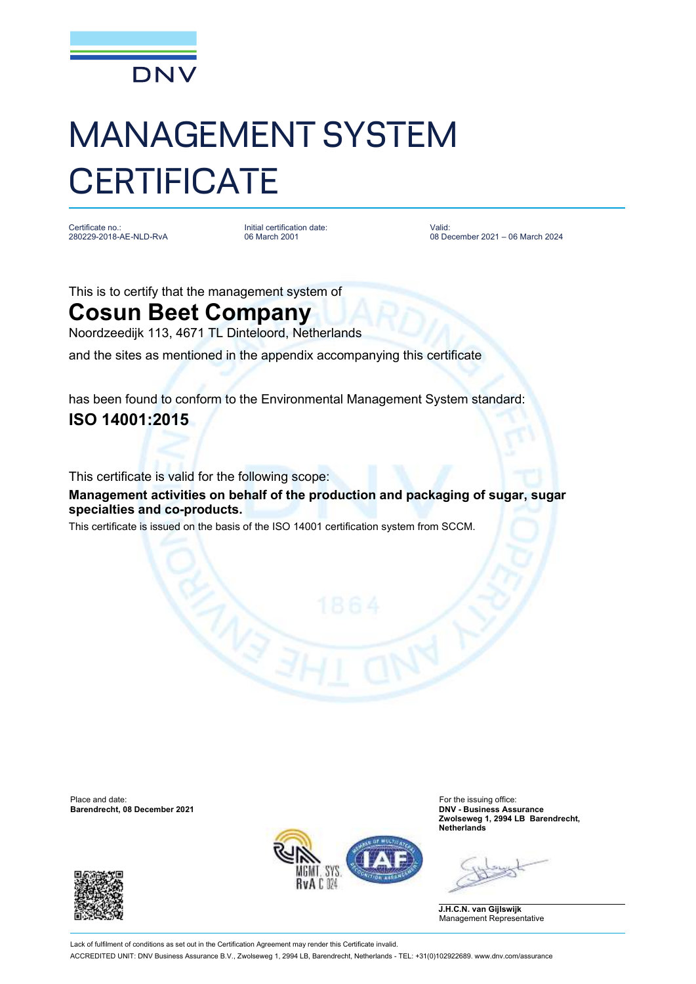

## MANAGEMENT SYSTEM **CERTIFICATE**

Certificate no. 280229-2018-AE-NLD-RvA Initial certification date: 06 March 2001

Valid: 08 December 2021 – 06 March 2024

This is to certify that the management system of

## **Cosun Beet Company**

Noordzeedijk 113, 4671 TL Dinteloord, Netherlands

and the sites as mentioned in the appendix accompanying this certificate

has been found to conform to the Environmental Management System standard: **ISO 14001:2015**

This certificate is valid for the following scope:

**Management activities on behalf of the production and packaging of sugar, sugar specialties and co-products.**

This certificate is issued on the basis of the ISO 14001 certification system from SCCM.

Place and date: For the issuing office:<br> **Barendrecht, 08 December 2021** Contract Contract Contract Contract Contract Contract Contract Contract Contract<br> **Barendrecht, 08 December 2021** Contract Contract Contract Contract **Barendrecht, 08 December 2021** 





**Zwolseweg 1, 2994 LB Barendrecht, Netherlands**

**J.H.C.N. van Gijlswijk** Management Representative

Lack of fulfilment of conditions as set out in the Certification Agreement may render this Certificate invalid. ACCREDITED UNIT: DNV Business Assurance B.V., Zwolseweg 1, 2994 LB, Barendrecht, Netherlands - TEL: +31(0)102922689. www.dnv.com/assurance